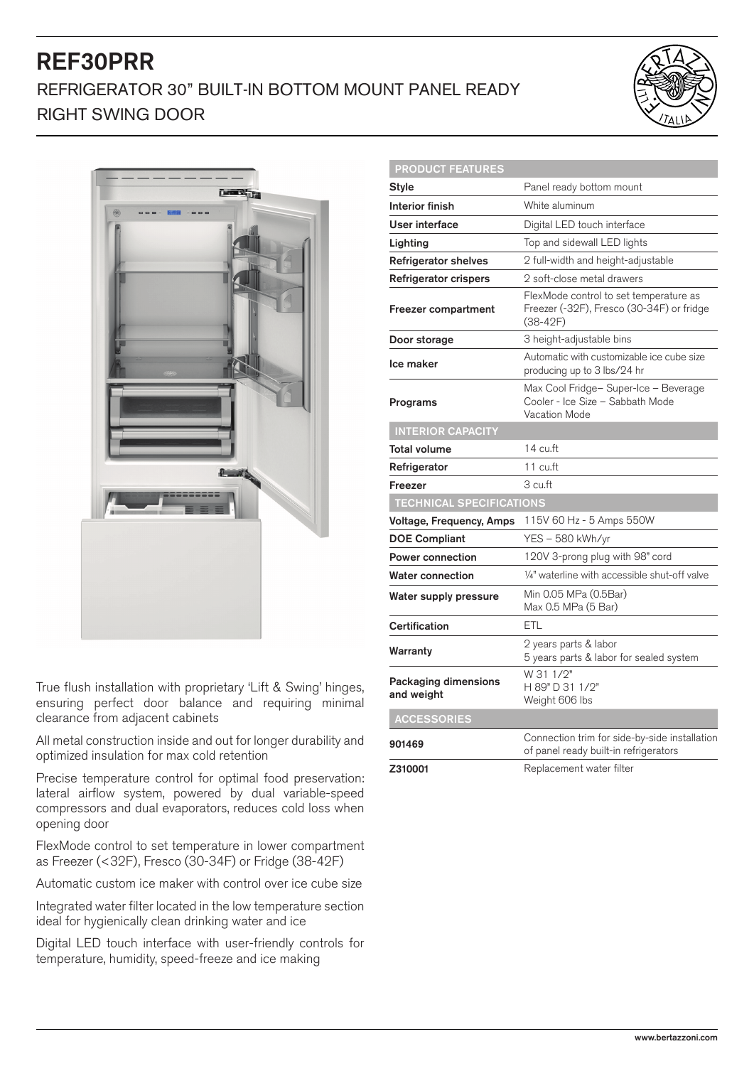# REF30PRR REFRIGERATOR 30" BUILT-IN BOTTOM MOUNT PANEL READY RIGHT SWING DOOR





True flush installation with proprietary 'Lift & Swing' hinges, ensuring perfect door balance and requiring minimal clearance from adjacent cabinets

All metal construction inside and out for longer durability and optimized insulation for max cold retention

Precise temperature control for optimal food preservation: lateral airflow system, powered by dual variable-speed compressors and dual evaporators, reduces cold loss when opening door

FlexMode control to set temperature in lower compartment as Freezer (<32F), Fresco (30-34F) or Fridge (38-42F)

Automatic custom ice maker with control over ice cube size

Integrated water filter located in the low temperature section ideal for hygienically clean drinking water and ice

Digital LED touch interface with user-friendly controls for temperature, humidity, speed-freeze and ice making

| <b>PRODUCT FEATURES</b>            |                                                                                                 |
|------------------------------------|-------------------------------------------------------------------------------------------------|
| <b>Style</b>                       | Panel ready bottom mount                                                                        |
| <b>Interior finish</b>             | White aluminum                                                                                  |
| User interface                     | Digital LED touch interface                                                                     |
| Lighting                           | Top and sidewall LED lights                                                                     |
| <b>Refrigerator shelves</b>        | 2 full-width and height-adjustable                                                              |
| Refrigerator crispers              | 2 soft-close metal drawers                                                                      |
| Freezer compartment                | FlexMode control to set temperature as<br>Freezer (-32F), Fresco (30-34F) or fridge<br>(38-42F) |
| Door storage                       | 3 height-adjustable bins                                                                        |
| Ice maker                          | Automatic with customizable ice cube size<br>producing up to 3 lbs/24 hr                        |
| Programs                           | Max Cool Fridge- Super-Ice - Beverage<br>Cooler - Ice Size - Sabbath Mode<br>Vacation Mode      |
| <b>INTERIOR CAPACITY</b>           |                                                                                                 |
| Total volume                       | 14 cu.ft                                                                                        |
| Refrigerator                       | 11 cu.ft                                                                                        |
| Freezer                            | 3 cu.ft                                                                                         |
| <b>TECHNICAL SPECIFICATIONS</b>    |                                                                                                 |
| Voltage, Frequency, Amps           | 115V 60 Hz - 5 Amps 550W                                                                        |
| <b>DOE Compliant</b>               | YES – 580 kWh/yr                                                                                |
| <b>Power connection</b>            | 120V 3-prong plug with 98" cord                                                                 |
| <b>Water connection</b>            | 1/4" waterline with accessible shut-off valve                                                   |
| Water supply pressure              | Min 0.05 MPa (0.5Bar)<br>Max 0.5 MPa (5 Bar)                                                    |
| Certification                      | ETL                                                                                             |
| Warranty                           | 2 years parts & labor<br>5 years parts & labor for sealed system                                |
| Packaging dimensions<br>and weight | W 31 1/2"<br>H 89" D 31 1/2"<br>Weight 606 lbs                                                  |
| <b>ACCESSORIES</b>                 |                                                                                                 |
| 901469                             | Connection trim for side-by-side installation<br>of panel ready built-in refrigerators          |
| Z310001                            | Replacement water filter                                                                        |